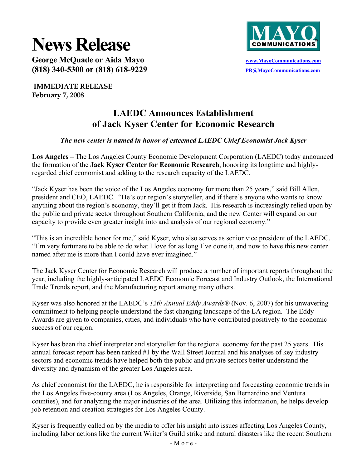# **News Release**



George McQuade or Aida Mayo **WALLACK CONSTRANS WAS ACCOMMUNICATE OF A** SUPERFECT OF A **WWW.MayoCommunications.com (818) 340-5300 or (818) 618-9229 PR@MayoCommunications.com** 

 **IMMEDIATE RELEASE February 7, 2008** 

## **LAEDC Announces Establishment of Jack Kyser Center for Economic Research**

### *The new center is named in honor of esteemed LAEDC Chief Economist Jack Kyser*

**Los Angeles –** The Los Angeles County Economic Development Corporation (LAEDC) today announced the formation of the **Jack Kyser Center for Economic Research**, honoring its longtime and highlyregarded chief economist and adding to the research capacity of the LAEDC.

"Jack Kyser has been the voice of the Los Angeles economy for more than 25 years," said Bill Allen, president and CEO, LAEDC. "He's our region's storyteller, and if there's anyone who wants to know anything about the region's economy, they'll get it from Jack. His research is increasingly relied upon by the public and private sector throughout Southern California, and the new Center will expand on our capacity to provide even greater insight into and analysis of our regional economy."

"This is an incredible honor for me," said Kyser, who also serves as senior vice president of the LAEDC. "I'm very fortunate to be able to do what I love for as long I've done it, and now to have this new center named after me is more than I could have ever imagined."

The Jack Kyser Center for Economic Research will produce a number of important reports throughout the year, including the highly-anticipated LAEDC Economic Forecast and Industry Outlook, the International Trade Trends report, and the Manufacturing report among many others.

Kyser was also honored at the LAEDC's *12th Annual Eddy Awards®* (Nov. 6, 2007) for his unwavering commitment to helping people understand the fast changing landscape of the LA region. The Eddy Awards are given to companies, cities, and individuals who have contributed positively to the economic success of our region.

Kyser has been the chief interpreter and storyteller for the regional economy for the past 25 years. His annual forecast report has been ranked #1 by the Wall Street Journal and his analyses of key industry sectors and economic trends have helped both the public and private sectors better understand the diversity and dynamism of the greater Los Angeles area.

As chief economist for the LAEDC, he is responsible for interpreting and forecasting economic trends in the Los Angeles five-county area (Los Angeles, Orange, Riverside, San Bernardino and Ventura counties), and for analyzing the major industries of the area. Utilizing this information, he helps develop job retention and creation strategies for Los Angeles County.

Kyser is frequently called on by the media to offer his insight into issues affecting Los Angeles County, including labor actions like the current Writer's Guild strike and natural disasters like the recent Southern